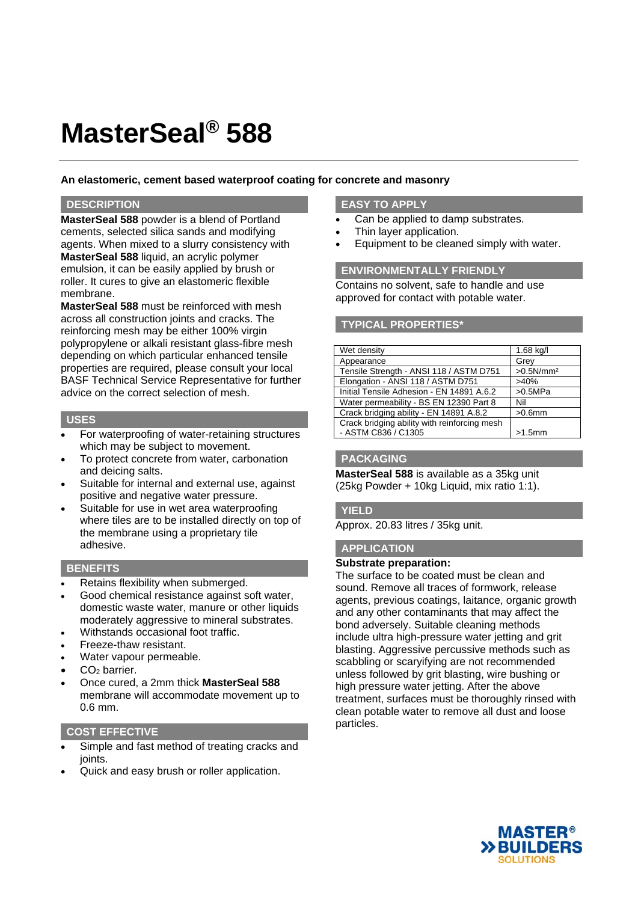# **MasterSeal® 588**

## **An elastomeric, cement based waterproof coating for concrete and masonry**

## **DESCRIPTION**

**MasterSeal 588** powder is a blend of Portland cements, selected silica sands and modifying agents. When mixed to a slurry consistency with **MasterSeal 588** liquid, an acrylic polymer emulsion, it can be easily applied by brush or roller. It cures to give an elastomeric flexible membrane.

**MasterSeal 588** must be reinforced with mesh across all construction joints and cracks. The reinforcing mesh may be either 100% virgin polypropylene or alkali resistant glass-fibre mesh depending on which particular enhanced tensile properties are required, please consult your local BASF Technical Service Representative for further advice on the correct selection of mesh.

#### **USES**

- For waterproofing of water-retaining structures which may be subject to movement.
- To protect concrete from water, carbonation and deicing salts.
- Suitable for internal and external use, against positive and negative water pressure.
- Suitable for use in wet area waterproofing where tiles are to be installed directly on top of the membrane using a proprietary tile adhesive.

## **BENEFITS**

- Retains flexibility when submerged.
- Good chemical resistance against soft water, domestic waste water, manure or other liquids moderately aggressive to mineral substrates.
- Withstands occasional foot traffic.
- Freeze-thaw resistant.
- Water vapour permeable.
- CO<sub>2</sub> barrier.
- Once cured, a 2mm thick **MasterSeal 588** membrane will accommodate movement up to 0.6 mm.

## **COST EFFECTIVE**

- Simple and fast method of treating cracks and joints.
- Quick and easy brush or roller application.

# **EASY TO APPLY**

- Can be applied to damp substrates.
- Thin layer application.
- Equipment to be cleaned simply with water.

### **ENVIRONMENTALLY FRIENDLY**

Contains no solvent, safe to handle and use approved for contact with potable water.

## **TYPICAL PROPERTIES\***

| Wet density                                  | $1.68$ kg/l           |
|----------------------------------------------|-----------------------|
| Appearance                                   | Grey                  |
| Tensile Strength - ANSI 118 / ASTM D751      | >0.5N/mm <sup>2</sup> |
| Elongation - ANSI 118 / ASTM D751            | >40%                  |
| Initial Tensile Adhesion - EN 14891 A.6.2    | >0.5MPa               |
| Water permeability - BS EN 12390 Part 8      | Nil                   |
| Crack bridging ability - EN 14891 A.8.2      | $>0.6$ mm             |
| Crack bridging ability with reinforcing mesh |                       |
| - ASTM C836 / C1305                          | $>1.5$ mm             |

## **PACKAGING**

**MasterSeal 588** is available as a 35kg unit (25kg Powder + 10kg Liquid, mix ratio 1:1).

## **YIELD**

Approx. 20.83 litres / 35kg unit.

# **APPLICATION**

#### **Substrate preparation:**

The surface to be coated must be clean and sound. Remove all traces of formwork, release agents, previous coatings, laitance, organic growth and any other contaminants that may affect the bond adversely. Suitable cleaning methods include ultra high-pressure water jetting and grit blasting. Aggressive percussive methods such as scabbling or scaryifying are not recommended unless followed by grit blasting, wire bushing or high pressure water jetting. After the above treatment, surfaces must be thoroughly rinsed with clean potable water to remove all dust and loose particles.